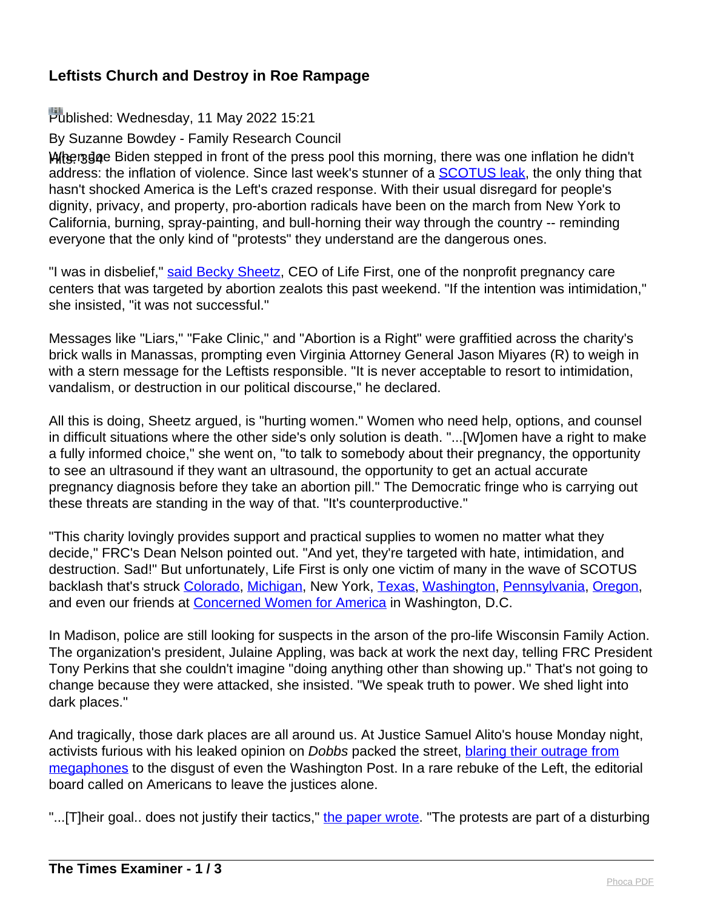## **Leftists Church and Destroy in Roe Rampage**

## Published: Wednesday, 11 May 2022 15:21

By Suzanne Bowdey - Family Research Council

When dee Biden stepped in front of the press pool this morning, there was one inflation he didn't address: the inflation of violence. Since last week's stunner of a **SCOTUS** leak, the only thing that hasn't shocked America is the Left's crazed response. With their usual disregard for people's dignity, privacy, and property, pro-abortion radicals have been on the march from New York to California, burning, spray-painting, and bull-horning their way through the country -- reminding everyone that the only kind of "protests" they understand are the dangerous ones.

"I was in disbelief," [said Becky Sheetz](https://frcblog.com/2022/05/pregnancy-resource-center-manassas-va-targeted-vandals/), CEO of Life First, one of the nonprofit pregnancy care centers that was targeted by abortion zealots this past weekend. "If the intention was intimidation," she insisted, "it was not successful."

Messages like "Liars," "Fake Clinic," and "Abortion is a Right" were graffitied across the charity's brick walls in Manassas, prompting even Virginia Attorney General Jason Miyares (R) to weigh in with a stern message for the Leftists responsible. "It is never acceptable to resort to intimidation, vandalism, or destruction in our political discourse," he declared.

All this is doing, Sheetz argued, is "hurting women." Women who need help, options, and counsel in difficult situations where the other side's only solution is death. "...[W]omen have a right to make a fully informed choice," she went on, "to talk to somebody about their pregnancy, the opportunity to see an ultrasound if they want an ultrasound, the opportunity to get an actual accurate pregnancy diagnosis before they take an abortion pill." The Democratic fringe who is carrying out these threats are standing in the way of that. "It's counterproductive."

"This charity lovingly provides support and practical supplies to women no matter what they decide," FRC's Dean Nelson pointed out. "And yet, they're targeted with hate, intimidation, and destruction. Sad!" But unfortunately, Life First is only one victim of many in the wave of SCOTUS backlash that's struck [Colorado,](https://www.nationalreview.com/news/colorado-church-vandalized-with-pro-abortion-graffiti-in-wake-of-scotus-leak/) [Michigan,](https://www.nationalreview.com/news/colorado-church-vandalized-with-pro-abortion-graffiti-in-wake-of-scotus-leak/) New York, [Texas,](https://twitter.com/Magister_Pownd/status/1523703253925769216) [Washington,](https://twitter.com/TPostMillennial/status/1523478802189275136) [Pennsylvania,](https://twitter.com/roman_orthodoxy/status/1523841772455174144) [Oregon](https://twitter.com/LiveAction/status/1522321752986116097), and even our friends at [Concerned Women for America](https://www.dailywire.com/news/pro-life-womens-group-says-leftist-vandalized-urinated-on-their-office) in Washington, D.C.

In Madison, police are still looking for suspects in the arson of the pro-life Wisconsin Family Action. The organization's president, Julaine Appling, was back at work the next day, telling FRC President Tony Perkins that she couldn't imagine "doing anything other than showing up." That's not going to change because they were attacked, she insisted. "We speak truth to power. We shed light into dark places."

And tragically, those dark places are all around us. At Justice Samuel Alito's house Monday night, activists furious with his leaked opinion on Dobbs packed the street, [blaring their outrage from](https://www.breitbart.com/clips/2022/05/09/barr-on-scotus-home-protests-federal-crime-to-go-to-judges-residence-to-influence-decisions/) [megaphones](https://www.breitbart.com/clips/2022/05/09/barr-on-scotus-home-protests-federal-crime-to-go-to-judges-residence-to-influence-decisions/) to the disgust of even the Washington Post. In a rare rebuke of the Left, the editorial board called on Americans to leave the justices alone.

"...[T]heir goal.. does not justify their tactics," [the paper wrote](https://www.washingtonpost.com/opinions/2022/05/09/stop-protesting-outside-supreme-court-justice-houses/). "The protests are part of a disturbing"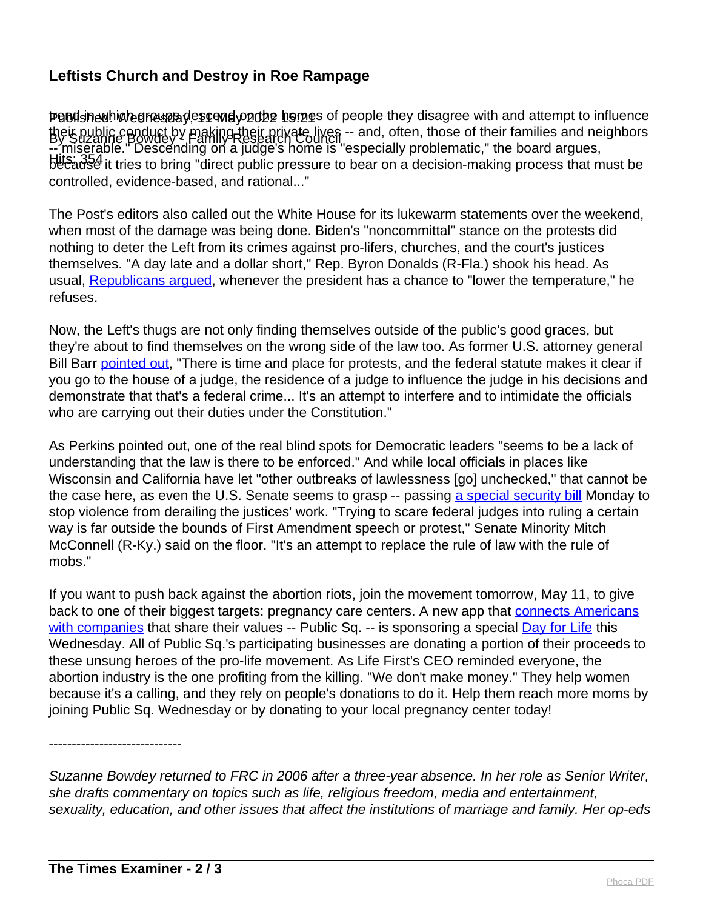## **Leftists Church and Destroy in Roe Rampage**

Pendshedhich groups descond on the momes of people they disagree with and attempt to influence their public conduct by making their private lives -- and, often, those of their families and neighbors<br>By Suzanne Bowdey Y Parking Research Council Hits: 354<br>because it tries to bring "direct public pressure to bear on a decision-making process that must be -- miserable." Descending on a judge's home is "especially problematic," the board argues, controlled, evidence-based, and rational..."

The Post's editors also called out the White House for its lukewarm statements over the weekend, when most of the damage was being done. Biden's "noncommittal" stance on the protests did nothing to deter the Left from its crimes against pro-lifers, churches, and the court's justices themselves. "A day late and a dollar short," Rep. Byron Donalds (R-Fla.) shook his head. As usual, [Republicans argued,](https://www.foxnews.com/media/critics-slam-white-house-statement-on-roe-protests) whenever the president has a chance to "lower the temperature," he refuses.

Now, the Left's thugs are not only finding themselves outside of the public's good graces, but they're about to find themselves on the wrong side of the law too. As former U.S. attorney general Bill Barr [pointed out](https://www.breitbart.com/clips/2022/05/09/barr-on-scotus-home-protests-federal-crime-to-go-to-judges-residence-to-influence-decisions/), "There is time and place for protests, and the federal statute makes it clear if you go to the house of a judge, the residence of a judge to influence the judge in his decisions and demonstrate that that's a federal crime... It's an attempt to interfere and to intimidate the officials who are carrying out their duties under the Constitution."

As Perkins pointed out, one of the real blind spots for Democratic leaders "seems to be a lack of understanding that the law is there to be enforced." And while local officials in places like Wisconsin and California have let "other outbreaks of lawlessness [go] unchecked," that cannot be the case here, as even the U.S. Senate seems to grasp -- passing [a special security bill](https://www.cnn.com/2022/05/09/politics/supreme-court-justices-security-senate-vote/index.html) Monday to stop violence from derailing the justices' work. "Trying to scare federal judges into ruling a certain way is far outside the bounds of First Amendment speech or protest," Senate Minority Mitch McConnell (R-Ky.) said on the floor. "It's an attempt to replace the rule of law with the rule of mobs."

If you want to push back against the abortion riots, join the movement tomorrow, May 11, to give back to one of their biggest targets: pregnancy care centers. A new app that [connects Americans](https://www.foxbusiness.com/lifestyle/new-app-connects-customers-with-businesses-against-vaccine-mandates) [with companies](https://www.foxbusiness.com/lifestyle/new-app-connects-customers-with-businesses-against-vaccine-mandates) that share their values -- Public Sq. -- is sponsoring a special [Day for Life](https://www.facebook.com/officialpublicsq/photos/303580291947150) this Wednesday. All of Public Sq.'s participating businesses are donating a portion of their proceeds to these unsung heroes of the pro-life movement. As Life First's CEO reminded everyone, the abortion industry is the one profiting from the killing. "We don't make money." They help women because it's a calling, and they rely on people's donations to do it. Help them reach more moms by joining Public Sq. Wednesday or by donating to your local pregnancy center today!

-----------------------------

Suzanne Bowdey returned to FRC in 2006 after a three-year absence. In her role as Senior Writer, she drafts commentary on topics such as life, religious freedom, media and entertainment, sexuality, education, and other issues that affect the institutions of marriage and family. Her op-eds